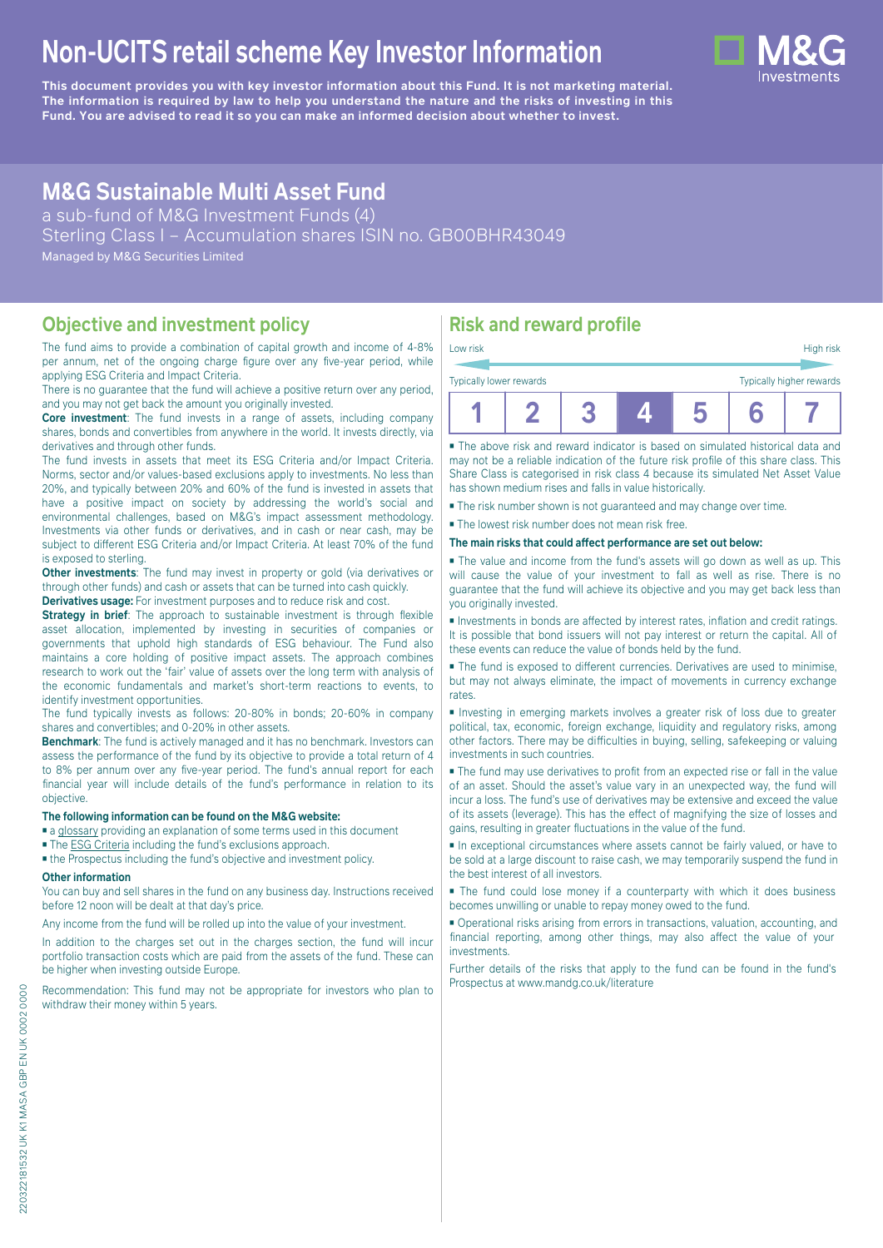# **Non-UCITS retail scheme Key Investor Information**

**This document provides you with key investor information about this Fund. It is not marketing material.** The information is required by law to help you understand the nature and the risks of investing in this **Fund. You are advised to read it so you can make an informed decision about whether to invest.**

# **M&G Sustainable Multi Asset Fund**

a sub-fund of M&G Investment Funds (4)

Sterling Class I – Accumulation shares ISIN no. GB00BHR43049

Managed by M&G Securities Limited

### **Objective and investment policy**

The fund aims to provide a combination of capital growth and income of 4-8% per annum, net of the ongoing charge figure over any five-year period, while applying ESG Criteria and Impact Criteria.

There is no guarantee that the fund will achieve a positive return over any period, and you may not get back the amount you originally invested.

**Core investment**: The fund invests in a range of assets, including company shares, bonds and convertibles from anywhere in the world. It invests directly, via derivatives and through other funds.

The fund invests in assets that meet its ESG Criteria and/or Impact Criteria. Norms, sector and/or values-based exclusions apply to investments. No less than 20%, and typically between 20% and 60% of the fund is invested in assets that have a positive impact on society by addressing the world's social and environmental challenges, based on M&G's impact assessment methodology. Investments via other funds or derivatives, and in cash or near cash, may be subject to different ESG Criteria and/or Impact Criteria. At least 70% of the fund is exposed to sterling.

**Other investments**: The fund may invest in property or gold (via derivatives or through other funds) and cash or assets that can be turned into cash quickly.

**Derivatives usage:** For investment purposes and to reduce risk and cost.

**Strategy in brief:** The approach to sustainable investment is through flexible asset allocation, implemented by investing in securities of companies or governments that uphold high standards of ESG behaviour. The Fund also maintains a core holding of positive impact assets. The approach combines research to work out the 'fair' value of assets over the long term with analysis of the economic fundamentals and market's short-term reactions to events, to identify investment opportunities.

The fund typically invests as follows: 20-80% in bonds; 20-60% in company shares and convertibles; and 0-20% in other assets.

**Benchmark**: The fund is actively managed and it has no benchmark. Investors can assess the performance of the fund by its objective to provide a total return of 4 to 8% per annum over any five-year period. The fund's annual report for each financial year will include details of the fund's performance in relation to its objective.

#### **The following information can be found on the M&G website:**

■ [a glossary](https://docs.mandg.com/docs/glossary-master-en.pdf) providing an explanation of some terms used in this document

■ The [ESG Criteria](https://www.mandg.com/dam/investments/common/gb/en/documents/funds-literature/fund-specific-files/esg-literature/esg-criteria-sustainable-multi-asset-fund.pdf ) including the fund's exclusions approach.

■ the Prospectus including the fund's objective and investment policy.

#### **Other information**

You can buy and sell shares in the fund on any business day. Instructions received before 12 noon will be dealt at that day's price.

Any income from the fund will be rolled up into the value of your investment.

In addition to the charges set out in the charges section, the fund will incur portfolio transaction costs which are paid from the assets of the fund. These can be higher when investing outside Europe.

Recommendation: This fund may not be appropriate for investors who plan to withdraw their money within 5 years.

# **Risk and reward profile**

| Low risk<br>Typically lower rewards |  |  | High risk<br>Typically higher rewards |  |
|-------------------------------------|--|--|---------------------------------------|--|
|                                     |  |  |                                       |  |
|                                     |  |  |                                       |  |

■ The above risk and reward indicator is based on simulated historical data and may not be a reliable indication of the future risk profile of this share class. This Share Class is categorised in risk class 4 because its simulated Net Asset Value has shown medium rises and falls in value historically.

■ The risk number shown is not guaranteed and may change over time.

■ The lowest risk number does not mean risk free.

**The main risks that could affect performance are set out below:**

■ The value and income from the fund's assets will go down as well as up. This will cause the value of your investment to fall as well as rise. There is no guarantee that the fund will achieve its objective and you may get back less than you originally invested.

■ Investments in bonds are affected by interest rates, inflation and credit ratings. It is possible that bond issuers will not pay interest or return the capital. All of these events can reduce the value of bonds held by the fund.

■ The fund is exposed to different currencies. Derivatives are used to minimise, but may not always eliminate, the impact of movements in currency exchange rates.

■ Investing in emerging markets involves a greater risk of loss due to greater political, tax, economic, foreign exchange, liquidity and regulatory risks, among other factors. There may be difficulties in buying, selling, safekeeping or valuing investments in such countries.

■ The fund may use derivatives to profit from an expected rise or fall in the value of an asset. Should the asset's value vary in an unexpected way, the fund will incur a loss. The fund's use of derivatives may be extensive and exceed the value of its assets (leverage). This has the effect of magnifying the size of losses and gains, resulting in greater fluctuations in the value of the fund.

■ In exceptional circumstances where assets cannot be fairly valued, or have to be sold at a large discount to raise cash, we may temporarily suspend the fund in the best interest of all investors.

■ The fund could lose money if a counterparty with which it does business becomes unwilling or unable to repay money owed to the fund.

■ Operational risks arising from errors in transactions, valuation, accounting, and financial reporting, among other things, may also affect the value of your investments.

Further details of the risks that apply to the fund can be found in the fund's Prospectus at [www.mandg.co.uk/literature](http://www.mandg.co.uk/literature)